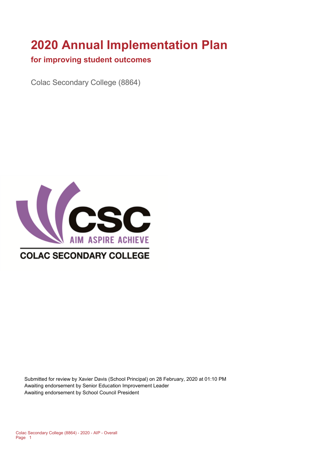# **2020 Annual Implementation Plan**

#### **for improving student outcomes**

Colac Secondary College (8864)



Submitted for review by Xavier Davis (School Principal) on 28 February, 2020 at 01:10 PM Awaiting endorsement by Senior Education Improvement Leader Awaiting endorsement by School Council President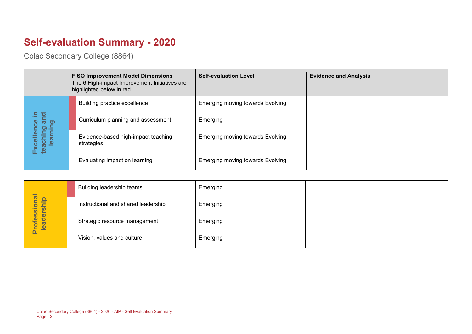# **Self-evaluation Summary - 2020**

Colac Secondary College (8864)

|                                       |  |  | <b>FISO Improvement Model Dimensions</b><br>The 6 High-impact Improvement Initiatives are<br>highlighted below in red. | <b>Self-evaluation Level</b>            | <b>Evidence and Analysis</b> |
|---------------------------------------|--|--|------------------------------------------------------------------------------------------------------------------------|-----------------------------------------|------------------------------|
|                                       |  |  | Building practice excellence                                                                                           | <b>Emerging moving towards Evolving</b> |                              |
| Ξ.<br>and                             |  |  | Curriculum planning and assessment                                                                                     | Emerging                                |                              |
| Excellence<br>teaching an<br>learning |  |  | Evidence-based high-impact teaching<br>strategies                                                                      | <b>Emerging moving towards Evolving</b> |                              |
|                                       |  |  | Evaluating impact on learning                                                                                          | <b>Emerging moving towards Evolving</b> |                              |

|                            | Building leadership teams           | Emerging |  |
|----------------------------|-------------------------------------|----------|--|
|                            | Instructional and shared leadership | Emerging |  |
| Professional<br>leadership | Strategic resource management       | Emerging |  |
|                            | Vision, values and culture          | Emerging |  |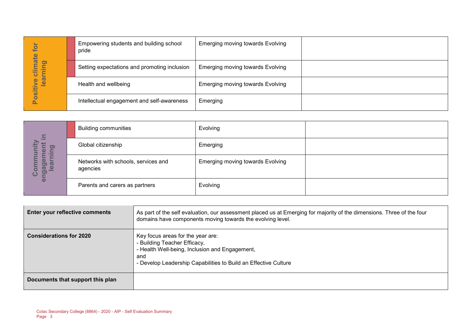| ior                                       | Empowering students and building school<br>pride | <b>Emerging moving towards Evolving</b> |  |
|-------------------------------------------|--------------------------------------------------|-----------------------------------------|--|
| imate<br>פֵ<br>►<br><b>Property</b><br>►  | Setting expectations and promoting inclusion     | <b>Emerging moving towards Evolving</b> |  |
| <b>Bal</b><br>$\bullet$<br>$\overline{v}$ | Health and wellbeing                             | <b>Emerging moving towards Evolving</b> |  |
|                                           | Intellectual engagement and self-awareness       | Emerging                                |  |

| $\equiv$                                                                                              | <b>Building communities</b>                     | Evolving                                |  |
|-------------------------------------------------------------------------------------------------------|-------------------------------------------------|-----------------------------------------|--|
| ටා                                                                                                    | Global citizenship                              | Emerging                                |  |
| Έ<br><u>יש נכ</u><br>$\overline{\mathbf{z}}$<br><u>യ</u><br>$\overline{\mathbf{C}}$<br><u>פֿ</u><br>ပ | Networks with schools, services and<br>agencies | <b>Emerging moving towards Evolving</b> |  |
| ō                                                                                                     | Parents and carers as partners                  | Evolving                                |  |

| for                                    | Empowering students and building school<br>pride                      |                                                                          | <b>Emerging moving towards Evolving</b>                                                                           |                                                                                                                        |
|----------------------------------------|-----------------------------------------------------------------------|--------------------------------------------------------------------------|-------------------------------------------------------------------------------------------------------------------|------------------------------------------------------------------------------------------------------------------------|
| Positive climate<br>learning           |                                                                       | Setting expectations and promoting inclusion                             | <b>Emerging moving towards Evolving</b>                                                                           |                                                                                                                        |
|                                        | Health and wellbeing                                                  |                                                                          | <b>Emerging moving towards Evolving</b>                                                                           |                                                                                                                        |
|                                        |                                                                       | Intellectual engagement and self-awareness                               | Emerging                                                                                                          |                                                                                                                        |
|                                        |                                                                       |                                                                          |                                                                                                                   |                                                                                                                        |
|                                        | <b>Building communities</b>                                           |                                                                          | Evolving                                                                                                          |                                                                                                                        |
|                                        | Global citizenship                                                    |                                                                          | Emerging                                                                                                          |                                                                                                                        |
| engagement in<br>Community<br>learning | Networks with schools, services and<br>agencies                       |                                                                          | <b>Emerging moving towards Evolving</b>                                                                           |                                                                                                                        |
|                                        | Parents and carers as partners                                        |                                                                          | Evolving                                                                                                          |                                                                                                                        |
|                                        |                                                                       |                                                                          |                                                                                                                   |                                                                                                                        |
|                                        | Enter your reflective comments                                        |                                                                          | domains have components moving towards the evolving level.                                                        | As part of the self evaluation, our assessment placed us at Emerging for majority of the dimensions. Three of the four |
| <b>Considerations for 2020</b>         |                                                                       | Key focus areas for the year are:<br>- Building Teacher Efficacy,<br>and | - Health Well-being, Inclusion and Engagement,<br>- Develop Leadership Capabilities to Build an Effective Culture |                                                                                                                        |
| Documents that support this plan       |                                                                       |                                                                          |                                                                                                                   |                                                                                                                        |
| Page 3                                 | Colac Secondary College (8864) - 2020 - AIP - Self Evaluation Summary |                                                                          |                                                                                                                   |                                                                                                                        |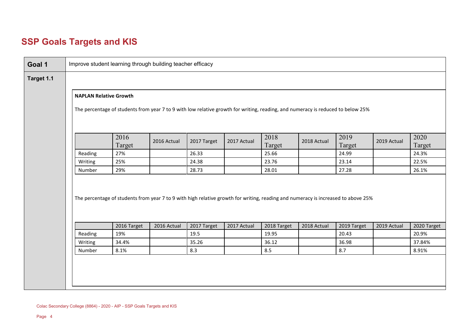### **SSP Goals Targets and KIS**

| Goal 1     | Improve student learning through building teacher efficacy                                                                                                       |                                                                                                                                   |             |             |             |                |             |                |             |                |  |  |  |
|------------|------------------------------------------------------------------------------------------------------------------------------------------------------------------|-----------------------------------------------------------------------------------------------------------------------------------|-------------|-------------|-------------|----------------|-------------|----------------|-------------|----------------|--|--|--|
| Target 1.1 |                                                                                                                                                                  |                                                                                                                                   |             |             |             |                |             |                |             |                |  |  |  |
|            | <b>NAPLAN Relative Growth</b><br>The percentage of students from year 7 to 9 with low relative growth for writing, reading, and numeracy is reduced to below 25% |                                                                                                                                   |             |             |             |                |             |                |             |                |  |  |  |
|            |                                                                                                                                                                  |                                                                                                                                   |             |             |             |                |             |                |             |                |  |  |  |
|            |                                                                                                                                                                  | 2016<br>Target                                                                                                                    | 2016 Actual | 2017 Target | 2017 Actual | 2018<br>Target | 2018 Actual | 2019<br>Target | 2019 Actual | 2020<br>Target |  |  |  |
|            | Reading                                                                                                                                                          | 27%                                                                                                                               |             | 26.33       |             | 25.66          |             | 24.99          |             | 24.3%          |  |  |  |
|            | Writing                                                                                                                                                          | 25%                                                                                                                               |             | 24.38       |             | 23.76          |             | 23.14          |             | 22.5%          |  |  |  |
|            | Number                                                                                                                                                           | 29%                                                                                                                               |             | 28.73       |             | 28.01          |             | 27.28          |             | 26.1%          |  |  |  |
|            |                                                                                                                                                                  | The percentage of students from year 7 to 9 with high relative growth for writing, reading and numeracy is increased to above 25% |             |             |             |                |             |                |             |                |  |  |  |
|            |                                                                                                                                                                  | 2016 Target                                                                                                                       | 2016 Actual | 2017 Target | 2017 Actual | 2018 Target    | 2018 Actual | 2019 Target    | 2019 Actual | 2020 Target    |  |  |  |
|            | Reading                                                                                                                                                          | 19%                                                                                                                               |             | 19.5        |             | 19.95          |             | 20.43          |             | 20.9%          |  |  |  |
|            | Writing                                                                                                                                                          | 34.4%                                                                                                                             |             | 35.26       |             | 36.12          |             | 36.98          |             | 37.84%         |  |  |  |
|            | Number                                                                                                                                                           | 8.1%                                                                                                                              |             | 8.3         |             | 8.5            |             | 8.7            |             | 8.91%          |  |  |  |
|            |                                                                                                                                                                  |                                                                                                                                   |             |             |             |                |             |                |             |                |  |  |  |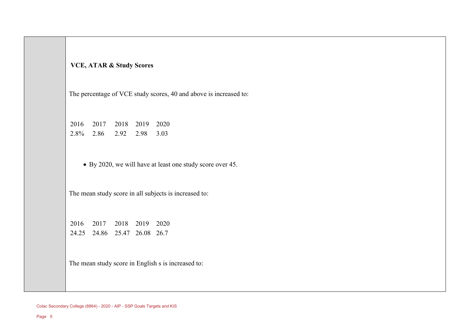#### **VCE, ATAR & Study Scores**

The percentage of VCE study scores, 40 and above is increased to:

2016 2017 2018 2019 2020 2.8% 2.86 2.92 2.98 3.03

• By 2020, we will have at least one study score over 45.

The mean study score in all subjects is increased to:

2016 2017 2018 2019 2020 24.25 24.86 25.47 26.08 26.7

The mean study score in English s is increased to:

Colac Secondary College (8864) - 2020 - AIP - SSP Goals Targets and KIS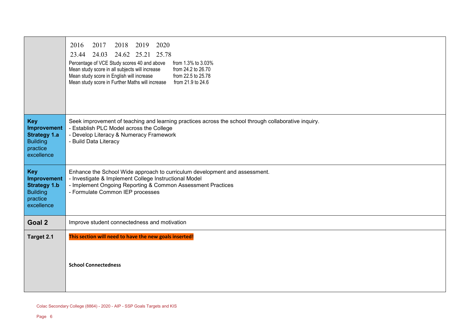|                                                                                               | 2016<br>2017<br>2020<br>2018<br>2019<br>24.03<br>24.62 25.21 25.78<br>23.44<br>Percentage of VCE Study scores 40 and above<br>from 1.3% to 3.03%<br>Mean study score in all subjects will increase<br>from 24.2 to 26.70<br>Mean study score in English will increase<br>from 22.5 to 25.78<br>Mean study score in Further Maths will increase from 21.9 to 24.6 |
|-----------------------------------------------------------------------------------------------|------------------------------------------------------------------------------------------------------------------------------------------------------------------------------------------------------------------------------------------------------------------------------------------------------------------------------------------------------------------|
| <b>Key</b><br>Improvement<br><b>Strategy 1.a</b><br><b>Building</b><br>practice<br>excellence | Seek improvement of teaching and learning practices across the school through collaborative inquiry.<br>- Establish PLC Model across the College<br>- Develop Literacy & Numeracy Framework<br>- Build Data Literacy                                                                                                                                             |
| <b>Key</b><br>Improvement<br><b>Strategy 1.b</b><br><b>Building</b><br>practice<br>excellence | Enhance the School Wide approach to curriculum development and assessment.<br>- Investigate & Implement College Instructional Model<br>- Implement Ongoing Reporting & Common Assessment Practices<br>- Formulate Common IEP processes                                                                                                                           |
| Goal 2                                                                                        | Improve student connectedness and motivation                                                                                                                                                                                                                                                                                                                     |
| Target 2.1                                                                                    | This section will need to have the new goals inserted!<br><b>School Connectedness</b>                                                                                                                                                                                                                                                                            |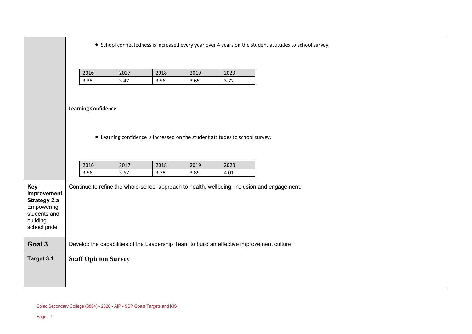|                                                                                                            | • School connectedness is increased every year over 4 years on the student attitudes to school survey. |  |  |  |  |  |  |  |  |  |  |  |
|------------------------------------------------------------------------------------------------------------|--------------------------------------------------------------------------------------------------------|--|--|--|--|--|--|--|--|--|--|--|
|                                                                                                            | 2016<br>2017<br>2018<br>2020<br>2019<br>3.38<br>3.47<br>3.56<br>3.65<br>3.72                           |  |  |  |  |  |  |  |  |  |  |  |
|                                                                                                            | <b>Learning Confidence</b>                                                                             |  |  |  |  |  |  |  |  |  |  |  |
|                                                                                                            | • Learning confidence is increased on the student attitudes to school survey.                          |  |  |  |  |  |  |  |  |  |  |  |
|                                                                                                            | 2016<br>2017<br>2018<br>2019<br>2020<br>3.56<br>3.67<br>3.78<br>3.89<br>4.01                           |  |  |  |  |  |  |  |  |  |  |  |
| <b>Key</b><br>Improvement<br><b>Strategy 2.a</b><br>Empowering<br>students and<br>building<br>school pride | Continue to refine the whole-school approach to health, wellbeing, inclusion and engagement.           |  |  |  |  |  |  |  |  |  |  |  |
| Goal 3                                                                                                     | Develop the capabilities of the Leadership Team to build an effective improvement culture              |  |  |  |  |  |  |  |  |  |  |  |
| Target 3.1                                                                                                 | <b>Staff Opinion Survey</b>                                                                            |  |  |  |  |  |  |  |  |  |  |  |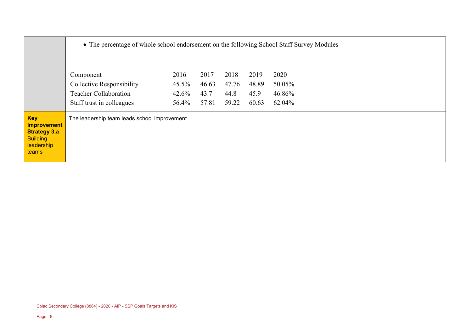|                                                                                                   |                                                                                                                                        | • The percentage of whole school endorsement on the following School Staff Survey Modules |       |       |       |        |  |  |  |  |  |  |  |
|---------------------------------------------------------------------------------------------------|----------------------------------------------------------------------------------------------------------------------------------------|-------------------------------------------------------------------------------------------|-------|-------|-------|--------|--|--|--|--|--|--|--|
|                                                                                                   | 2016<br>2017<br>2018<br>2019<br>2020<br>Component<br>46.63<br>$45.5\%$<br>47.76<br>48.89<br>50.05%<br><b>Collective Responsibility</b> |                                                                                           |       |       |       |        |  |  |  |  |  |  |  |
|                                                                                                   | <b>Teacher Collaboration</b>                                                                                                           | 42.6%                                                                                     | 43.7  | 44.8  | 45.9  | 46.86% |  |  |  |  |  |  |  |
|                                                                                                   | Staff trust in colleagues                                                                                                              | 56.4%                                                                                     | 57.81 | 59.22 | 60.63 | 62.04% |  |  |  |  |  |  |  |
| <b>Key</b><br><b>Improvement</b><br><b>Strategy 3.a</b><br><b>Building</b><br>leadership<br>teams | The leadership team leads school improvement                                                                                           |                                                                                           |       |       |       |        |  |  |  |  |  |  |  |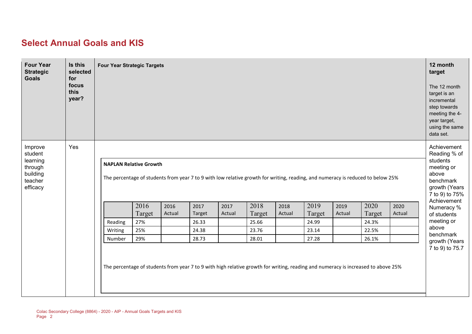### **Select Annual Goals and KIS**

| <b>Four Year</b><br><b>Strategic</b><br><b>Goals</b>                         | Is this<br>selected<br>for<br>focus<br>this<br>year? | <b>Four Year Strategic Targets</b> |        |        |        |        |        |        |        |        |                                                                                                                                   |        | 12 month<br>target<br>The 12 month<br>target is an<br>incremental<br>step towards<br>meeting the 4-<br>year target,<br>using the same<br>data set. |
|------------------------------------------------------------------------------|------------------------------------------------------|------------------------------------|--------|--------|--------|--------|--------|--------|--------|--------|-----------------------------------------------------------------------------------------------------------------------------------|--------|----------------------------------------------------------------------------------------------------------------------------------------------------|
| Improve<br>student<br>learning<br>through<br>building<br>teacher<br>efficacy | Yes                                                  | <b>NAPLAN Relative Growth</b>      |        |        |        |        |        |        |        |        | The percentage of students from year 7 to 9 with low relative growth for writing, reading, and numeracy is reduced to below 25%   |        | Achievement<br>Reading % of<br>students<br>meeting or<br>above<br>benchmark<br>growth (Years<br>7 to 9) to 75%                                     |
|                                                                              |                                                      |                                    | 2016   | 2016   | 2017   | 2017   | 2018   | 2018   | 2019   | 2019   | 2020                                                                                                                              | 2020   | Achievement<br>Numeracy %                                                                                                                          |
|                                                                              |                                                      |                                    | Target | Actual | Target | Actual | Target | Actual | Target | Actual | Target                                                                                                                            | Actual | of students                                                                                                                                        |
|                                                                              |                                                      | Reading                            | 27%    |        | 26.33  |        | 25.66  |        | 24.99  |        | 24.3%                                                                                                                             |        | meeting or<br>above                                                                                                                                |
|                                                                              |                                                      | Writing                            | 25%    |        | 24.38  |        | 23.76  |        | 23.14  |        | 22.5%                                                                                                                             |        | benchmark                                                                                                                                          |
|                                                                              |                                                      | Number                             | 29%    |        | 28.73  |        | 28.01  |        | 27.28  |        | 26.1%                                                                                                                             |        | growth (Years                                                                                                                                      |
|                                                                              |                                                      |                                    |        |        |        |        |        |        |        |        | The percentage of students from year 7 to 9 with high relative growth for writing, reading and numeracy is increased to above 25% |        | 7 to 9) to 75.7                                                                                                                                    |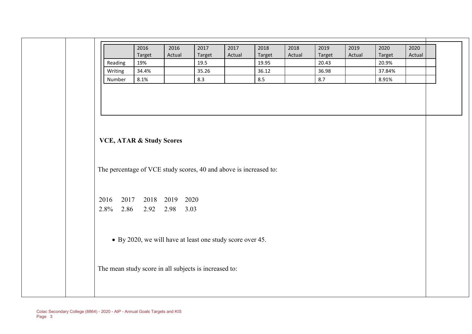|                                                                   | 2016<br>Target | 2016<br>Actual                                            | 2017<br>Target | 2017<br>Actual | 2018<br>Target | 2018<br>Actual | 2019<br>Target | 2019<br>Actual | 2020<br>Target | 2020<br>Actual |
|-------------------------------------------------------------------|----------------|-----------------------------------------------------------|----------------|----------------|----------------|----------------|----------------|----------------|----------------|----------------|
| Reading                                                           | 19%            |                                                           | 19.5           |                | 19.95          |                | 20.43          |                | 20.9%          |                |
| Writing                                                           | 34.4%          |                                                           | 35.26          |                | 36.12          |                | 36.98          |                | 37.84%         |                |
| Number                                                            | 8.1%           |                                                           | 8.3            |                | 8.5            |                | 8.7            |                | 8.91%          |                |
|                                                                   |                |                                                           |                |                |                |                |                |                |                |                |
| <b>VCE, ATAR &amp; Study Scores</b>                               |                |                                                           |                |                |                |                |                |                |                |                |
|                                                                   |                |                                                           |                |                |                |                |                |                |                |                |
|                                                                   |                |                                                           |                |                |                |                |                |                |                |                |
| The percentage of VCE study scores, 40 and above is increased to: |                |                                                           |                |                |                |                |                |                |                |                |
| 2016<br>2.8%<br>2.86                                              |                | 2017 2018 2019 2020<br>2.92 2.98 3.03                     |                |                |                |                |                |                |                |                |
|                                                                   |                | • By 2020, we will have at least one study score over 45. |                |                |                |                |                |                |                |                |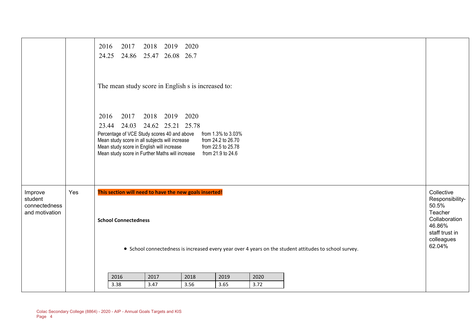|                                                       |     | 2017<br>2016<br>2018 2019 2020<br>24.25 24.86 25.47 26.08 26.7                                                                                                                                                                                                                                                                                    |                                                                                                                        |
|-------------------------------------------------------|-----|---------------------------------------------------------------------------------------------------------------------------------------------------------------------------------------------------------------------------------------------------------------------------------------------------------------------------------------------------|------------------------------------------------------------------------------------------------------------------------|
|                                                       |     | The mean study score in English s is increased to:                                                                                                                                                                                                                                                                                                |                                                                                                                        |
|                                                       |     | 2017 2018 2019 2020<br>2016<br>23.44 24.03 24.62 25.21 25.78<br>Percentage of VCE Study scores 40 and above<br>from 1.3% to 3.03%<br>Mean study score in all subjects will increase<br>from 24.2 to 26.70<br>Mean study score in English will increase<br>from 22.5 to 25.78<br>Mean study score in Further Maths will increase from 21.9 to 24.6 |                                                                                                                        |
| Improve<br>student<br>connectedness<br>and motivation | Yes | This section will need to have the new goals inserted!<br><b>School Connectedness</b><br>• School connectedness is increased every year over 4 years on the student attitudes to school survey.                                                                                                                                                   | Collective<br>Responsibility-<br>50.5%<br>Teacher<br>Collaboration<br>46.86%<br>staff trust in<br>colleagues<br>62.04% |
|                                                       |     | 2017<br>2019<br>2020<br>2016<br>2018<br>3.47<br>3.56<br>3.72<br>3.38<br>3.65                                                                                                                                                                                                                                                                      |                                                                                                                        |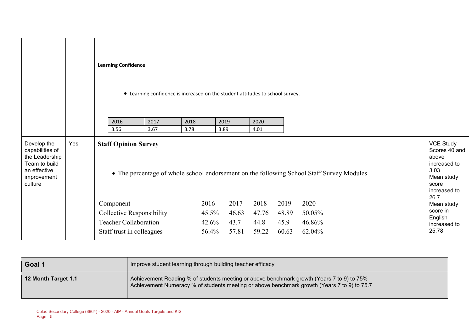|                                                                                                             |     | <b>Learning Confidence</b><br>• Learning confidence is increased on the student attitudes to school survey. |       |       |       |       |                                                                                           |                                                                                                                   |
|-------------------------------------------------------------------------------------------------------------|-----|-------------------------------------------------------------------------------------------------------------|-------|-------|-------|-------|-------------------------------------------------------------------------------------------|-------------------------------------------------------------------------------------------------------------------|
|                                                                                                             |     | 2017<br>2016                                                                                                | 2018  | 2019  | 2020  |       |                                                                                           |                                                                                                                   |
|                                                                                                             |     | 3.67<br>3.56                                                                                                | 3.78  | 3.89  | 4.01  |       |                                                                                           |                                                                                                                   |
| Develop the<br>capabilities of<br>the Leadership<br>Team to build<br>an effective<br>improvement<br>culture | Yes | <b>Staff Opinion Survey</b>                                                                                 |       |       |       |       | • The percentage of whole school endorsement on the following School Staff Survey Modules | <b>VCE Study</b><br>Scores 40 and<br>above<br>increased to<br>3.03<br>Mean study<br>score<br>increased to<br>26.7 |
|                                                                                                             |     | Component                                                                                                   | 2016  | 2017  | 2018  | 2019  | 2020                                                                                      | Mean study                                                                                                        |
|                                                                                                             |     | <b>Collective Responsibility</b>                                                                            | 45.5% | 46.63 | 47.76 | 48.89 | 50.05%                                                                                    | score in<br>English                                                                                               |
|                                                                                                             |     | <b>Teacher Collaboration</b>                                                                                | 42.6% | 43.7  | 44.8  | 45.9  | 46.86%                                                                                    | increased to                                                                                                      |
|                                                                                                             |     | Staff trust in colleagues                                                                                   | 56.4% | 57.81 | 59.22 | 60.63 | 62.04%                                                                                    | 25.78                                                                                                             |

| Goal 1              | Improve student learning through building teacher efficacy                                                                                                                               |
|---------------------|------------------------------------------------------------------------------------------------------------------------------------------------------------------------------------------|
| 12 Month Target 1.1 | Achievement Reading % of students meeting or above benchmark growth (Years 7 to 9) to 75%<br>Achievement Numeracy % of students meeting or above benchmark growth (Years 7 to 9) to 75.7 |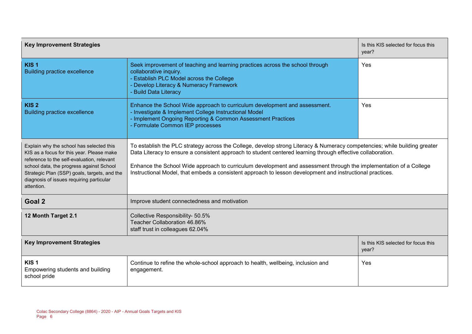| <b>Key Improvement Strategies</b>                                                                                                                                                                                                                                                         | Is this KIS selected for focus this<br>year?                                                                                                                                                                                                                                                                                                                                                                                                                               |                                              |  |
|-------------------------------------------------------------------------------------------------------------------------------------------------------------------------------------------------------------------------------------------------------------------------------------------|----------------------------------------------------------------------------------------------------------------------------------------------------------------------------------------------------------------------------------------------------------------------------------------------------------------------------------------------------------------------------------------------------------------------------------------------------------------------------|----------------------------------------------|--|
| KIS <sub>1</sub><br><b>Building practice excellence</b>                                                                                                                                                                                                                                   | Seek improvement of teaching and learning practices across the school through<br>Yes<br>collaborative inquiry.<br>- Establish PLC Model across the College<br>- Develop Literacy & Numeracy Framework<br><b>Build Data Literacy</b>                                                                                                                                                                                                                                        |                                              |  |
| KIS <sub>2</sub><br><b>Building practice excellence</b>                                                                                                                                                                                                                                   | Enhance the School Wide approach to curriculum development and assessment.<br>Yes<br>- Investigate & Implement College Instructional Model<br>- Implement Ongoing Reporting & Common Assessment Practices<br>- Formulate Common IEP processes                                                                                                                                                                                                                              |                                              |  |
| Explain why the school has selected this<br>KIS as a focus for this year. Please make<br>reference to the self-evaluation, relevant<br>school data, the progress against School<br>Strategic Plan (SSP) goals, targets, and the<br>diagnosis of issues requiring particular<br>attention. | To establish the PLC strategy across the College, develop strong Literacy & Numeracy competencies; while building greater<br>Data Literacy to ensure a consistent approach to student centered learning through effective collaboration.<br>Enhance the School Wide approach to curriculum development and assessment through the implementation of a College<br>Instructional Model, that embeds a consistent approach to lesson development and instructional practices. |                                              |  |
| Goal 2                                                                                                                                                                                                                                                                                    | Improve student connectedness and motivation                                                                                                                                                                                                                                                                                                                                                                                                                               |                                              |  |
| 12 Month Target 2.1                                                                                                                                                                                                                                                                       | Collective Responsibility- 50.5%<br>Teacher Collaboration 46.86%<br>staff trust in colleagues 62.04%                                                                                                                                                                                                                                                                                                                                                                       |                                              |  |
| <b>Key Improvement Strategies</b>                                                                                                                                                                                                                                                         |                                                                                                                                                                                                                                                                                                                                                                                                                                                                            | Is this KIS selected for focus this<br>year? |  |
| KIS <sub>1</sub><br>Empowering students and building<br>school pride                                                                                                                                                                                                                      | Continue to refine the whole-school approach to health, wellbeing, inclusion and<br>engagement.                                                                                                                                                                                                                                                                                                                                                                            | Yes                                          |  |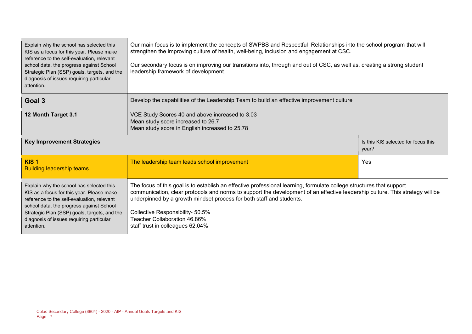| Our main focus is to implement the concepts of SWPBS and Respectful Relationships into the school program that will<br>Explain why the school has selected this<br>strengthen the improving culture of health, well-being, inclusion and engagement at CSC.<br>KIS as a focus for this year. Please make<br>reference to the self-evaluation, relevant<br>Our secondary focus is on improving our transitions into, through and out of CSC, as well as, creating a strong student<br>school data, the progress against School<br>leadership framework of development.<br>Strategic Plan (SSP) goals, targets, and the<br>diagnosis of issues requiring particular<br>attention. |                                                                                                                                                                                                                                                                                                                                                                                                                                       |                                              |  |
|---------------------------------------------------------------------------------------------------------------------------------------------------------------------------------------------------------------------------------------------------------------------------------------------------------------------------------------------------------------------------------------------------------------------------------------------------------------------------------------------------------------------------------------------------------------------------------------------------------------------------------------------------------------------------------|---------------------------------------------------------------------------------------------------------------------------------------------------------------------------------------------------------------------------------------------------------------------------------------------------------------------------------------------------------------------------------------------------------------------------------------|----------------------------------------------|--|
| Goal 3                                                                                                                                                                                                                                                                                                                                                                                                                                                                                                                                                                                                                                                                          | Develop the capabilities of the Leadership Team to build an effective improvement culture                                                                                                                                                                                                                                                                                                                                             |                                              |  |
| 12 Month Target 3.1                                                                                                                                                                                                                                                                                                                                                                                                                                                                                                                                                                                                                                                             | VCE Study Scores 40 and above increased to 3.03<br>Mean study score increased to 26.7<br>Mean study score in English increased to 25.78                                                                                                                                                                                                                                                                                               |                                              |  |
| <b>Key Improvement Strategies</b>                                                                                                                                                                                                                                                                                                                                                                                                                                                                                                                                                                                                                                               |                                                                                                                                                                                                                                                                                                                                                                                                                                       | Is this KIS selected for focus this<br>year? |  |
| KIS <sub>1</sub><br><b>Building leadership teams</b>                                                                                                                                                                                                                                                                                                                                                                                                                                                                                                                                                                                                                            | The leadership team leads school improvement                                                                                                                                                                                                                                                                                                                                                                                          | Yes                                          |  |
| Explain why the school has selected this<br>KIS as a focus for this year. Please make<br>reference to the self-evaluation, relevant<br>school data, the progress against School<br>Strategic Plan (SSP) goals, targets, and the<br>diagnosis of issues requiring particular<br>attention.                                                                                                                                                                                                                                                                                                                                                                                       | The focus of this goal is to establish an effective professional learning, formulate college structures that support<br>communication, clear protocols and norms to support the development of an effective leadership culture. This strategy will be<br>underpinned by a growth mindset process for both staff and students.<br>Collective Responsibility- 50.5%<br>Teacher Collaboration 46.86%<br>staff trust in colleagues 62.04% |                                              |  |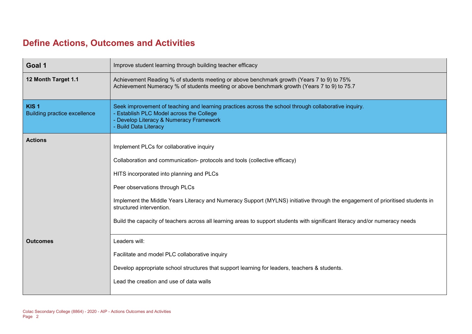### **Define Actions, Outcomes and Activities**

| Goal 1                                                  | Improve student learning through building teacher efficacy                                                                                                                                                                                                                                                                                                                                                                                                                                        |
|---------------------------------------------------------|---------------------------------------------------------------------------------------------------------------------------------------------------------------------------------------------------------------------------------------------------------------------------------------------------------------------------------------------------------------------------------------------------------------------------------------------------------------------------------------------------|
| 12 Month Target 1.1                                     | Achievement Reading % of students meeting or above benchmark growth (Years 7 to 9) to 75%<br>Achievement Numeracy % of students meeting or above benchmark growth (Years 7 to 9) to 75.7                                                                                                                                                                                                                                                                                                          |
| KIS <sub>1</sub><br><b>Building practice excellence</b> | Seek improvement of teaching and learning practices across the school through collaborative inquiry.<br>- Establish PLC Model across the College<br>- Develop Literacy & Numeracy Framework<br>- Build Data Literacy                                                                                                                                                                                                                                                                              |
| <b>Actions</b>                                          | Implement PLCs for collaborative inquiry<br>Collaboration and communication- protocols and tools (collective efficacy)<br>HITS incorporated into planning and PLCs<br>Peer observations through PLCs<br>Implement the Middle Years Literacy and Numeracy Support (MYLNS) initiative through the engagement of prioritised students in<br>structured intervention.<br>Build the capacity of teachers across all learning areas to support students with significant literacy and/or numeracy needs |
| <b>Outcomes</b>                                         | Leaders will:<br>Facilitate and model PLC collaborative inquiry<br>Develop appropriate school structures that support learning for leaders, teachers & students.<br>Lead the creation and use of data walls                                                                                                                                                                                                                                                                                       |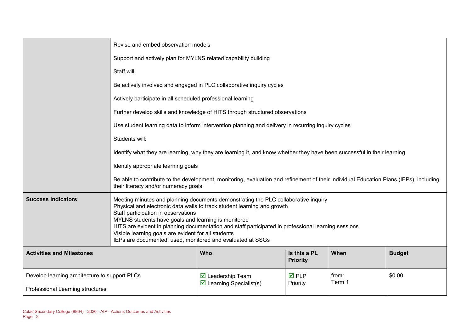|                                               | Revise and embed observation models                                                                                                                                                                                                                                                                                                                                                                                                                                                     |                                                                                                    |                                 |                 |               |  |  |
|-----------------------------------------------|-----------------------------------------------------------------------------------------------------------------------------------------------------------------------------------------------------------------------------------------------------------------------------------------------------------------------------------------------------------------------------------------------------------------------------------------------------------------------------------------|----------------------------------------------------------------------------------------------------|---------------------------------|-----------------|---------------|--|--|
|                                               |                                                                                                                                                                                                                                                                                                                                                                                                                                                                                         | Support and actively plan for MYLNS related capability building                                    |                                 |                 |               |  |  |
|                                               | Staff will:                                                                                                                                                                                                                                                                                                                                                                                                                                                                             |                                                                                                    |                                 |                 |               |  |  |
|                                               |                                                                                                                                                                                                                                                                                                                                                                                                                                                                                         | Be actively involved and engaged in PLC collaborative inquiry cycles                               |                                 |                 |               |  |  |
|                                               |                                                                                                                                                                                                                                                                                                                                                                                                                                                                                         | Actively participate in all scheduled professional learning                                        |                                 |                 |               |  |  |
|                                               |                                                                                                                                                                                                                                                                                                                                                                                                                                                                                         | Further develop skills and knowledge of HITS through structured observations                       |                                 |                 |               |  |  |
|                                               |                                                                                                                                                                                                                                                                                                                                                                                                                                                                                         | Use student learning data to inform intervention planning and delivery in recurring inquiry cycles |                                 |                 |               |  |  |
|                                               | Students will:                                                                                                                                                                                                                                                                                                                                                                                                                                                                          |                                                                                                    |                                 |                 |               |  |  |
|                                               | Identify what they are learning, why they are learning it, and know whether they have been successful in their learning                                                                                                                                                                                                                                                                                                                                                                 |                                                                                                    |                                 |                 |               |  |  |
|                                               | Identify appropriate learning goals                                                                                                                                                                                                                                                                                                                                                                                                                                                     |                                                                                                    |                                 |                 |               |  |  |
|                                               | Be able to contribute to the development, monitoring, evaluation and refinement of their Individual Education Plans (IEPs), including<br>their literacy and/or numeracy goals                                                                                                                                                                                                                                                                                                           |                                                                                                    |                                 |                 |               |  |  |
| <b>Success Indicators</b>                     | Meeting minutes and planning documents demonstrating the PLC collaborative inquiry<br>Physical and electronic data walls to track student learning and growth<br>Staff participation in observations<br>MYLNS students have goals and learning is monitored<br>HITS are evident in planning documentation and staff participated in professional learning sessions<br>Visible learning goals are evident for all students<br>IEPs are documented, used, monitored and evaluated at SSGs |                                                                                                    |                                 |                 |               |  |  |
| <b>Activities and Milestones</b>              |                                                                                                                                                                                                                                                                                                                                                                                                                                                                                         | Who                                                                                                | Is this a PL<br><b>Priority</b> | When            | <b>Budget</b> |  |  |
| Develop learning architecture to support PLCs |                                                                                                                                                                                                                                                                                                                                                                                                                                                                                         | $\triangleright$ Leadership Team                                                                   | $\overline{M}$ PLP              | from:<br>Term 1 | \$0.00        |  |  |
| Professional Learning structures              |                                                                                                                                                                                                                                                                                                                                                                                                                                                                                         | $\triangleright$ Learning Specialist(s)                                                            | Priority                        |                 |               |  |  |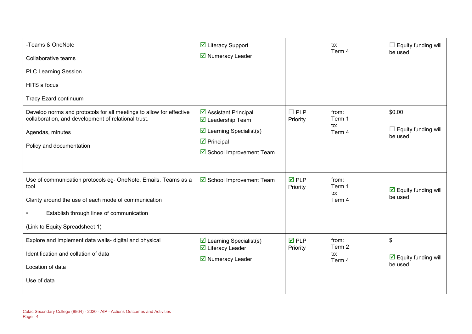| -Teams & OneNote<br>Collaborative teams<br><b>PLC Learning Session</b><br>HITS a focus<br><b>Tracy Ezard continuum</b>                                                                                       | ☑ Literacy Support<br>■ Numeracy Leader                                                                                                                                |                                | to:<br>Term 4                    | Equity funding will<br>be used                           |
|--------------------------------------------------------------------------------------------------------------------------------------------------------------------------------------------------------------|------------------------------------------------------------------------------------------------------------------------------------------------------------------------|--------------------------------|----------------------------------|----------------------------------------------------------|
| Develop norms and protocols for all meetings to allow for effective<br>collaboration, and development of relational trust.<br>Agendas, minutes<br>Policy and documentation                                   | ☑ Assistant Principal<br>$\overline{\mathbf{M}}$ Leadership Team<br>$\triangleright$ Learning Specialist(s)<br>$\triangleright$ Principal<br>☑ School Improvement Team | $\Box$ PLP<br>Priority         | from:<br>Term 1<br>to:<br>Term 4 | \$0.00<br>Equity funding will<br>be used                 |
| Use of communication protocols eg- OneNote, Emails, Teams as a<br>tool<br>Clarity around the use of each mode of communication<br>Establish through lines of communication<br>(Link to Equity Spreadsheet 1) | ☑ School Improvement Team                                                                                                                                              | $\overline{M}$ PLP<br>Priority | from:<br>Term 1<br>to:<br>Term 4 | $\overline{\mathbf{y}}$ Equity funding will<br>be used   |
| Explore and implement data walls- digital and physical<br>Identification and collation of data<br>Location of data<br>Use of data                                                                            | $\triangleright$ Learning Specialist(s)<br>$\overline{\mathbf{M}}$ Literacy Leader<br>■ Numeracy Leader                                                                | $\nabla$ PLP<br>Priority       | from:<br>Term 2<br>to:<br>Term 4 | \$<br>$\boxed{\triangle}$ Equity funding will<br>be used |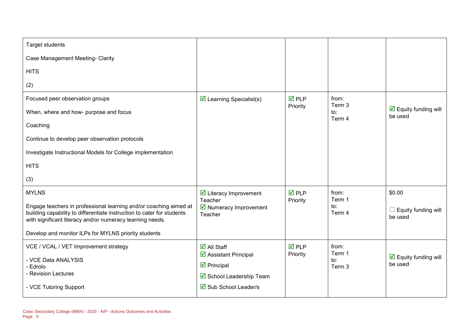| <b>Target students</b>                                                                                                                                                                                   |                                                                                                |                    |                         |                                                        |
|----------------------------------------------------------------------------------------------------------------------------------------------------------------------------------------------------------|------------------------------------------------------------------------------------------------|--------------------|-------------------------|--------------------------------------------------------|
| Case Management Meeting- Clarity                                                                                                                                                                         |                                                                                                |                    |                         |                                                        |
| <b>HITS</b>                                                                                                                                                                                              |                                                                                                |                    |                         |                                                        |
| (2)                                                                                                                                                                                                      |                                                                                                |                    |                         |                                                        |
| Focused peer observation groups                                                                                                                                                                          | $\triangleright$ Learning Specialist(s)                                                        | $\overline{M}$ PLP | from:<br>Term 3         |                                                        |
| When, where and how- purpose and focus                                                                                                                                                                   |                                                                                                | Priority           | to:<br>Term 4           | $\overline{\mathbf{y}}$ Equity funding will<br>be used |
| Coaching                                                                                                                                                                                                 |                                                                                                |                    |                         |                                                        |
| Continue to develop peer observation protocols                                                                                                                                                           |                                                                                                |                    |                         |                                                        |
| Investigate Instructional Models for College implementation                                                                                                                                              |                                                                                                |                    |                         |                                                        |
| <b>HITS</b>                                                                                                                                                                                              |                                                                                                |                    |                         |                                                        |
| (3)                                                                                                                                                                                                      |                                                                                                |                    |                         |                                                        |
| <b>MYLNS</b>                                                                                                                                                                                             | $\triangleright$ Literacy Improvement<br>Teacher                                               | $\overline{M}$ PLP | from:<br>Term 1         | \$0.00                                                 |
| Engage teachers in professional learning and/or coaching aimed at<br>building capability to differentiate instruction to cater for students<br>with significant literacy and/or numeracy learning needs. | $\triangleright$ Numeracy Improvement<br>Teacher                                               | Priority           | to:<br>Term 4           | Equity funding will<br>be used                         |
| Develop and monitor ILPs for MYLNS priority students                                                                                                                                                     |                                                                                                |                    |                         |                                                        |
| VCE / VCAL / VET Improvement strategy                                                                                                                                                                    | $\overline{\mathsf{M}}$ All Staff                                                              | <b>ØPLP</b>        | from:                   |                                                        |
| - VCE Data ANALYSIS<br>- Edrolo<br>- Revision Lectures                                                                                                                                                   | $\triangleright$ Assistant Principal<br>$\triangleright$ Principal<br>☑ School Leadership Team | Priority           | Term 1<br>to:<br>Term 3 | $\overline{\mathbf{M}}$ Equity funding will<br>be used |
| - VCE Tutoring Support                                                                                                                                                                                   | $\overline{\boxtimes}$ Sub School Leader/s                                                     |                    |                         |                                                        |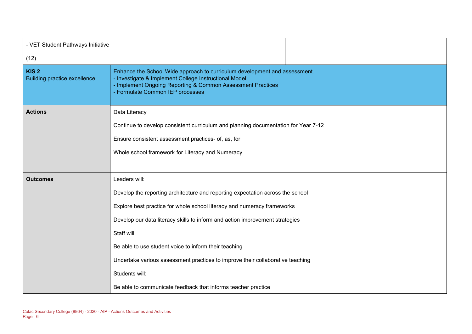| - VET Student Pathways Initiative                       |                                                                                                                                                                                                                                        |                                                                                                                                                                                                                                                                                                                             |  |  |  |
|---------------------------------------------------------|----------------------------------------------------------------------------------------------------------------------------------------------------------------------------------------------------------------------------------------|-----------------------------------------------------------------------------------------------------------------------------------------------------------------------------------------------------------------------------------------------------------------------------------------------------------------------------|--|--|--|
| (12)                                                    |                                                                                                                                                                                                                                        |                                                                                                                                                                                                                                                                                                                             |  |  |  |
| KIS <sub>2</sub><br><b>Building practice excellence</b> | Enhance the School Wide approach to curriculum development and assessment.<br>- Investigate & Implement College Instructional Model<br>- Implement Ongoing Reporting & Common Assessment Practices<br>- Formulate Common IEP processes |                                                                                                                                                                                                                                                                                                                             |  |  |  |
| <b>Actions</b>                                          | Data Literacy<br>Continue to develop consistent curriculum and planning documentation for Year 7-12<br>Ensure consistent assessment practices- of, as, for<br>Whole school framework for Literacy and Numeracy                         |                                                                                                                                                                                                                                                                                                                             |  |  |  |
| <b>Outcomes</b>                                         | Leaders will:<br>Staff will:<br>Be able to use student voice to inform their teaching<br>Students will:<br>Be able to communicate feedback that informs teacher practice                                                               | Develop the reporting architecture and reporting expectation across the school<br>Explore best practice for whole school literacy and numeracy frameworks<br>Develop our data literacy skills to inform and action improvement strategies<br>Undertake various assessment practices to improve their collaborative teaching |  |  |  |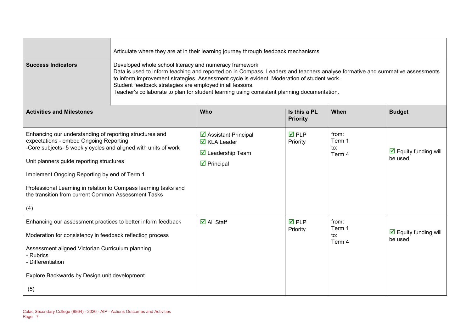|                                                                                                                                                                                                                                                                                                                                                                                                  | Articulate where they are at in their learning journey through feedback mechanisms                                                                                                                                                                                                                                                                                                                                                              |                                                                                                                                      |                                 |                                  |                                                    |
|--------------------------------------------------------------------------------------------------------------------------------------------------------------------------------------------------------------------------------------------------------------------------------------------------------------------------------------------------------------------------------------------------|-------------------------------------------------------------------------------------------------------------------------------------------------------------------------------------------------------------------------------------------------------------------------------------------------------------------------------------------------------------------------------------------------------------------------------------------------|--------------------------------------------------------------------------------------------------------------------------------------|---------------------------------|----------------------------------|----------------------------------------------------|
| <b>Success Indicators</b>                                                                                                                                                                                                                                                                                                                                                                        | Developed whole school literacy and numeracy framework<br>Data is used to inform teaching and reported on in Compass. Leaders and teachers analyse formative and summative assessments<br>to inform improvement strategies. Assessment cycle is evident. Moderation of student work.<br>Student feedback strategies are employed in all lessons.<br>Teacher's collaborate to plan for student learning using consistent planning documentation. |                                                                                                                                      |                                 |                                  |                                                    |
| <b>Activities and Milestones</b>                                                                                                                                                                                                                                                                                                                                                                 |                                                                                                                                                                                                                                                                                                                                                                                                                                                 | Who                                                                                                                                  | Is this a PL<br><b>Priority</b> | When                             | <b>Budget</b>                                      |
| Enhancing our understanding of reporting structures and<br>expectations - embed Ongoing Reporting<br>-Core subjects- 5 weekly cycles and aligned with units of work<br>Unit planners guide reporting structures<br>Implement Ongoing Reporting by end of Term 1<br>Professional Learning in relation to Compass learning tasks and<br>the transition from current Common Assessment Tasks<br>(4) |                                                                                                                                                                                                                                                                                                                                                                                                                                                 | ☑ Assistant Principal<br>$\overline{\mathbf{M}}$ KLA Leader<br>$\overline{\mathbf{M}}$ Leadership Team<br>$\triangleright$ Principal | $\overline{M}$ PLP<br>Priority  | from:<br>Term 1<br>to:<br>Term 4 | $\boxed{\triangle}$ Equity funding will<br>be used |
| Enhancing our assessment practices to better inform feedback<br>Moderation for consistency in feedback reflection process<br>Assessment aligned Victorian Curriculum planning<br>- Rubrics<br>- Differentiation<br>Explore Backwards by Design unit development<br>(5)                                                                                                                           |                                                                                                                                                                                                                                                                                                                                                                                                                                                 | $\overline{\mathsf{M}}$ All Staff                                                                                                    | $\overline{M}$ PLP<br>Priority  | from:<br>Term 1<br>to:<br>Term 4 | $\boxed{\triangle}$ Equity funding will<br>be used |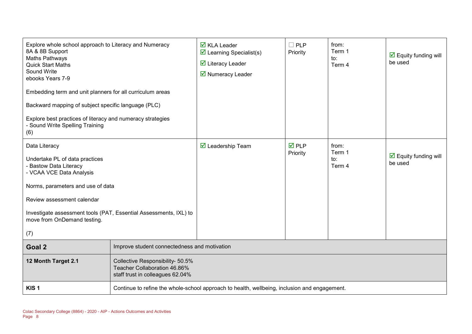| Explore whole school approach to Literacy and Numeracy<br>8A & 8B Support<br>Maths Pathways<br><b>Quick Start Maths</b><br>Sound Write<br>ebooks Years 7-9<br>Embedding term and unit planners for all curriculum areas<br>Backward mapping of subject specific language (PLC)<br>Explore best practices of literacy and numeracy strategies<br>- Sound Write Spelling Training<br>(6) |                                              | $\overline{\mathbf{Z}}$ KLA Leader<br>$\triangleright$ Learning Specialist(s)<br>$\overline{\mathbf{y}}$ Literacy Leader<br>$\triangleright$ Numeracy Leader | $\Box$ PLP<br>Priority  | from:<br>Term 1<br>to:<br>Term 4 | $\triangleright$ Equity funding will<br>be used        |
|----------------------------------------------------------------------------------------------------------------------------------------------------------------------------------------------------------------------------------------------------------------------------------------------------------------------------------------------------------------------------------------|----------------------------------------------|--------------------------------------------------------------------------------------------------------------------------------------------------------------|-------------------------|----------------------------------|--------------------------------------------------------|
| Data Literacy<br>Undertake PL of data practices<br><b>Bastow Data Literacy</b><br>- VCAA VCE Data Analysis<br>Norms, parameters and use of data<br>Review assessment calendar<br>Investigate assessment tools (PAT, Essential Assessments, IXL) to<br>move from OnDemand testing.<br>(7)                                                                                               |                                              | $\overline{\mathbf{M}}$ Leadership Team                                                                                                                      | <b>ØPLP</b><br>Priority | from:<br>Term 1<br>to:<br>Term 4 | $\overline{\mathbf{y}}$ Equity funding will<br>be used |
| Goal 2                                                                                                                                                                                                                                                                                                                                                                                 | Improve student connectedness and motivation |                                                                                                                                                              |                         |                                  |                                                        |
| 12 Month Target 2.1<br>Collective Responsibility- 50.5%<br>Teacher Collaboration 46.86%<br>staff trust in colleagues 62.04%                                                                                                                                                                                                                                                            |                                              |                                                                                                                                                              |                         |                                  |                                                        |
| KIS <sub>1</sub>                                                                                                                                                                                                                                                                                                                                                                       |                                              | Continue to refine the whole-school approach to health, wellbeing, inclusion and engagement.                                                                 |                         |                                  |                                                        |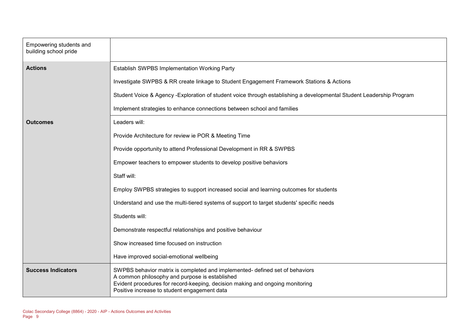| Empowering students and<br>building school pride |                                                                                                                                                                                                                                                                 |
|--------------------------------------------------|-----------------------------------------------------------------------------------------------------------------------------------------------------------------------------------------------------------------------------------------------------------------|
| <b>Actions</b>                                   | Establish SWPBS Implementation Working Party                                                                                                                                                                                                                    |
|                                                  | Investigate SWPBS & RR create linkage to Student Engagement Framework Stations & Actions                                                                                                                                                                        |
|                                                  | Student Voice & Agency -Exploration of student voice through establishing a developmental Student Leadership Program                                                                                                                                            |
|                                                  | Implement strategies to enhance connections between school and families                                                                                                                                                                                         |
| <b>Outcomes</b>                                  | Leaders will:                                                                                                                                                                                                                                                   |
|                                                  | Provide Architecture for review ie POR & Meeting Time                                                                                                                                                                                                           |
|                                                  | Provide opportunity to attend Professional Development in RR & SWPBS                                                                                                                                                                                            |
|                                                  | Empower teachers to empower students to develop positive behaviors                                                                                                                                                                                              |
|                                                  | Staff will:                                                                                                                                                                                                                                                     |
|                                                  | Employ SWPBS strategies to support increased social and learning outcomes for students                                                                                                                                                                          |
|                                                  | Understand and use the multi-tiered systems of support to target students' specific needs                                                                                                                                                                       |
|                                                  | Students will:                                                                                                                                                                                                                                                  |
|                                                  | Demonstrate respectful relationships and positive behaviour                                                                                                                                                                                                     |
|                                                  | Show increased time focused on instruction                                                                                                                                                                                                                      |
|                                                  | Have improved social-emotional wellbeing                                                                                                                                                                                                                        |
| <b>Success Indicators</b>                        | SWPBS behavior matrix is completed and implemented- defined set of behaviors<br>A common philosophy and purpose is established<br>Evident procedures for record-keeping, decision making and ongoing monitoring<br>Positive increase to student engagement data |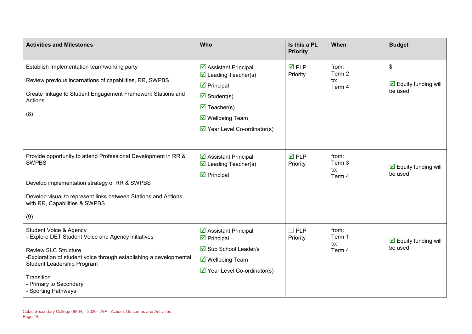| <b>Activities and Milestones</b>                                                                                                                                                                                                                                                               | Who                                                                                                                                                                                                                                                    | Is this a PL<br><b>Priority</b> | When                             | <b>Budget</b>                                                                       |
|------------------------------------------------------------------------------------------------------------------------------------------------------------------------------------------------------------------------------------------------------------------------------------------------|--------------------------------------------------------------------------------------------------------------------------------------------------------------------------------------------------------------------------------------------------------|---------------------------------|----------------------------------|-------------------------------------------------------------------------------------|
| Establish Implementation team/working party<br>Review previous incarnations of capabilities, RR, SWPBS<br>Create linkage to Student Engagement Framework Stations and<br>Actions<br>(8)                                                                                                        | ☑ Assistant Principal<br>$\triangledown$ Leading Teacher(s)<br>$\triangleright$ Principal<br>$\overline{\mathbf{y}}$ Student(s)<br>$\triangledown$ Teacher(s)<br>$\overline{\mathbf{y}}$ Wellbeing Team<br>$\triangleright$ Year Level Co-ordinator(s) | <b>☑</b> PLP<br>Priority        | from:<br>Term 2<br>to:<br>Term 4 | $\boldsymbol{\mathsf{S}}$<br>$\overline{\mathbf{y}}$ Equity funding will<br>be used |
| Provide opportunity to attend Professional Development in RR &<br><b>SWPBS</b><br>Develop implementation strategy of RR & SWPBS<br>Develop visual to represent links between Stations and Actions<br>with RR, Capabilities & SWPBS<br>(9)                                                      | ☑ Assistant Principal<br>$\triangledown$ Leading Teacher(s)<br>$\triangleright$ Principal                                                                                                                                                              | $\overline{M}$ PLP<br>Priority  | from:<br>Term 3<br>to:<br>Term 4 | $\triangleright$ Equity funding will<br>be used                                     |
| <b>Student Voice &amp; Agency</b><br><b>Explore DET Student Voice and Agency initiatives</b><br><b>Review SLC Structure</b><br>-Exploration of student voice through establishing a developmental<br>Student Leadership Program<br>Transition<br>- Primary to Secondary<br>- Sporting Pathways | ☑ Assistant Principal<br>$\boxtimes$ Principal<br>$\overline{\boxtimes}$ Sub School Leader/s<br>$\overline{\mathbf{y}}$ Wellbeing Team<br>$\triangleright$ Year Level Co-ordinator(s)                                                                  | $\Box$ PLP<br>Priority          | from:<br>Term 1<br>to:<br>Term 4 | $\overline{\mathbf{M}}$ Equity funding will<br>be used                              |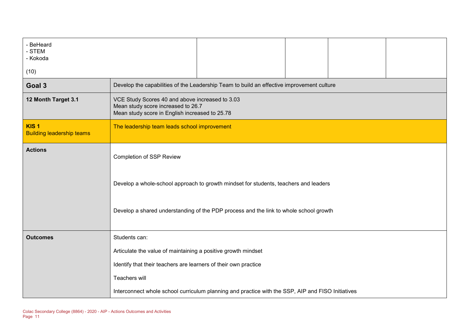| - BeHeard<br>- STEM<br>- Kokoda<br>(10)              |                                                                                                                                         |  |  |  |  |  |  |
|------------------------------------------------------|-----------------------------------------------------------------------------------------------------------------------------------------|--|--|--|--|--|--|
| Goal 3                                               | Develop the capabilities of the Leadership Team to build an effective improvement culture                                               |  |  |  |  |  |  |
| 12 Month Target 3.1                                  | VCE Study Scores 40 and above increased to 3.03<br>Mean study score increased to 26.7<br>Mean study score in English increased to 25.78 |  |  |  |  |  |  |
| KIS <sub>1</sub><br><b>Building leadership teams</b> | The leadership team leads school improvement                                                                                            |  |  |  |  |  |  |
| <b>Actions</b>                                       | <b>Completion of SSP Review</b>                                                                                                         |  |  |  |  |  |  |
|                                                      | Develop a whole-school approach to growth mindset for students, teachers and leaders                                                    |  |  |  |  |  |  |
|                                                      | Develop a shared understanding of the PDP process and the link to whole school growth                                                   |  |  |  |  |  |  |
| <b>Outcomes</b>                                      | Students can:                                                                                                                           |  |  |  |  |  |  |
|                                                      | Articulate the value of maintaining a positive growth mindset                                                                           |  |  |  |  |  |  |
|                                                      | Identify that their teachers are learners of their own practice                                                                         |  |  |  |  |  |  |
|                                                      | Teachers will                                                                                                                           |  |  |  |  |  |  |
|                                                      | Interconnect whole school curriculum planning and practice with the SSP, AIP and FISO Initiatives                                       |  |  |  |  |  |  |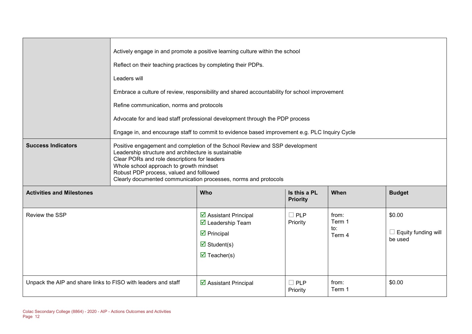|                                                               | Actively engage in and promote a positive learning culture within the school<br>Reflect on their teaching practices by completing their PDPs.<br>Leaders will<br>Embrace a culture of review, responsibility and shared accountability for school improvement<br>Refine communication, norms and protocols<br>Advocate for and lead staff professional development through the PDP process<br>Engage in, and encourage staff to commit to evidence based improvement e.g. PLC Inquiry Cycle |                                                                                                                                                                            |                                 |                                  |                                               |  |
|---------------------------------------------------------------|---------------------------------------------------------------------------------------------------------------------------------------------------------------------------------------------------------------------------------------------------------------------------------------------------------------------------------------------------------------------------------------------------------------------------------------------------------------------------------------------|----------------------------------------------------------------------------------------------------------------------------------------------------------------------------|---------------------------------|----------------------------------|-----------------------------------------------|--|
| <b>Success Indicators</b>                                     | Positive engagement and completion of the School Review and SSP development<br>Leadership structure and architecture is sustainable<br>Clear PORs and role descriptions for leaders<br>Whole school approach to growth mindset<br>Robust PDP process, valued and folllowed<br>Clearly documented communication processes, norms and protocols                                                                                                                                               |                                                                                                                                                                            |                                 |                                  |                                               |  |
| <b>Activities and Milestones</b>                              |                                                                                                                                                                                                                                                                                                                                                                                                                                                                                             | Who                                                                                                                                                                        | Is this a PL<br><b>Priority</b> | When                             | <b>Budget</b>                                 |  |
| Review the SSP                                                |                                                                                                                                                                                                                                                                                                                                                                                                                                                                                             | ☑ Assistant Principal<br>$\overline{\mathbf{M}}$ Leadership Team<br>$\triangleright$ Principal<br>$\overline{\mathbf{M}}$ Student(s)<br>$\overline{\mathbf{M}}$ Teacher(s) | $\Box$ PLP<br>Priority          | from:<br>Term 1<br>to:<br>Term 4 | \$0.00<br>Equity funding will<br>ப<br>be used |  |
| Unpack the AIP and share links to FISO with leaders and staff |                                                                                                                                                                                                                                                                                                                                                                                                                                                                                             | $\overline{\mathbf{2}}$ Assistant Principal                                                                                                                                | $\square$ PLP<br>Priority       | from:<br>Term 1                  | \$0.00                                        |  |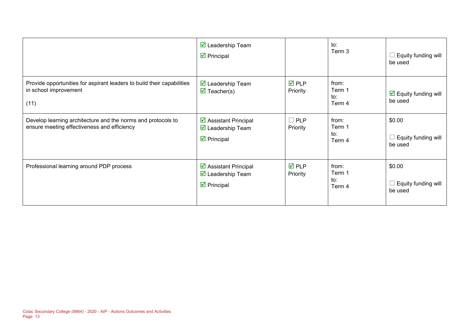|                                                                                                             | $\triangleright$ Leadership Team<br>$\triangleright$ Principal                                                |                                | to:<br>Term 3                    | Equity funding will<br>be used                  |
|-------------------------------------------------------------------------------------------------------------|---------------------------------------------------------------------------------------------------------------|--------------------------------|----------------------------------|-------------------------------------------------|
| Provide opportunities for aspirant leaders to build their capabilities<br>in school improvement<br>(11)     | $\overline{\mathbf{M}}$ Leadership Team<br>$\overline{\mathbf{M}}$ Teacher(s)                                 | $\overline{M}$ PLP<br>Priority | from:<br>Term 1<br>to:<br>Term 4 | $\triangleright$ Equity funding will<br>be used |
| Develop learning architecture and the norms and protocols to<br>ensure meeting effectiveness and efficiency | $\triangleright$ Assistant Principal<br>$\overline{\mathbf{M}}$ Leadership Team<br>$\triangledown$ Principal  | $\Box$ PLP<br>Priority         | from:<br>Term 1<br>to:<br>Term 4 | \$0.00<br>Equity funding will<br>be used        |
| Professional learning around PDP process                                                                    | $\triangleright$ Assistant Principal<br>$\overline{\mathbf{M}}$ Leadership Team<br>$\triangleright$ Principal | $\overline{M}$ PLP<br>Priority | from:<br>Term 1<br>to:<br>Term 4 | \$0.00<br>Equity funding will<br>be used        |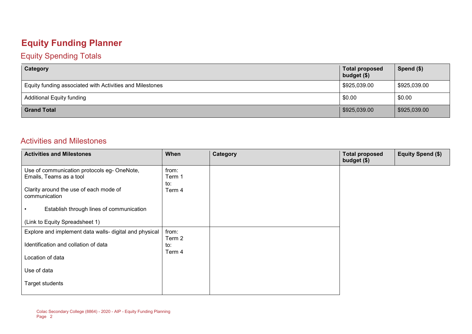# **Equity Funding Planner**

#### Equity Spending Totals

| Category                                                 | <b>Total proposed</b><br>budget $($)$ | Spend $($)$  |
|----------------------------------------------------------|---------------------------------------|--------------|
| Equity funding associated with Activities and Milestones | \$925,039.00                          | \$925,039.00 |
| <b>Additional Equity funding</b>                         | \$0.00                                | \$0.00       |
| <b>Grand Total</b>                                       | \$925,039.00                          | \$925,039.00 |

#### Activities and Milestones

| <b>Activities and Milestones</b>                                                                                 | When                             | Category | <b>Total proposed</b><br>budget (\$) | <b>Equity Spend (\$)</b> |
|------------------------------------------------------------------------------------------------------------------|----------------------------------|----------|--------------------------------------|--------------------------|
| Use of communication protocols eg- OneNote,<br>Emails, Teams as a tool<br>Clarity around the use of each mode of | from:<br>Term 1<br>to:<br>Term 4 |          |                                      |                          |
| communication<br>Establish through lines of communication                                                        |                                  |          |                                      |                          |
| (Link to Equity Spreadsheet 1)                                                                                   |                                  |          |                                      |                          |
| Explore and implement data walls- digital and physical                                                           | from:<br>Term 2                  |          |                                      |                          |
| Identification and collation of data                                                                             | to:<br>Term 4                    |          |                                      |                          |
| Location of data                                                                                                 |                                  |          |                                      |                          |
| Use of data                                                                                                      |                                  |          |                                      |                          |
| Target students                                                                                                  |                                  |          |                                      |                          |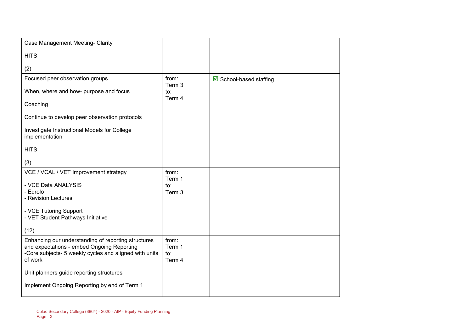| Case Management Meeting- Clarity                                                                     |                 |                                        |
|------------------------------------------------------------------------------------------------------|-----------------|----------------------------------------|
| <b>HITS</b>                                                                                          |                 |                                        |
| (2)                                                                                                  |                 |                                        |
| Focused peer observation groups                                                                      | from:           | $\triangleright$ School-based staffing |
| When, where and how- purpose and focus                                                               | Term 3<br>to:   |                                        |
| Coaching                                                                                             | Term 4          |                                        |
| Continue to develop peer observation protocols                                                       |                 |                                        |
| Investigate Instructional Models for College<br>implementation                                       |                 |                                        |
| <b>HITS</b>                                                                                          |                 |                                        |
| (3)                                                                                                  |                 |                                        |
| VCE / VCAL / VET Improvement strategy                                                                | from:<br>Term 1 |                                        |
| - VCE Data ANALYSIS                                                                                  | to:             |                                        |
| - Edrolo                                                                                             | Term 3          |                                        |
| - Revision Lectures                                                                                  |                 |                                        |
| - VCE Tutoring Support                                                                               |                 |                                        |
| - VET Student Pathways Initiative                                                                    |                 |                                        |
| (12)                                                                                                 |                 |                                        |
| Enhancing our understanding of reporting structures                                                  | from:           |                                        |
| and expectations - embed Ongoing Reporting<br>-Core subjects- 5 weekly cycles and aligned with units | Term 1<br>to:   |                                        |
| of work                                                                                              | Term 4          |                                        |
| Unit planners guide reporting structures                                                             |                 |                                        |
|                                                                                                      |                 |                                        |
| Implement Ongoing Reporting by end of Term 1                                                         |                 |                                        |
|                                                                                                      |                 |                                        |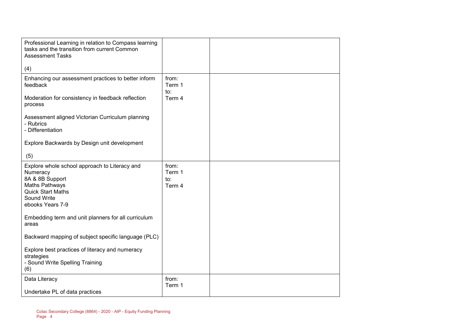| Professional Learning in relation to Compass learning<br>tasks and the transition from current Common<br><b>Assessment Tasks</b>                              |                                  |  |
|---------------------------------------------------------------------------------------------------------------------------------------------------------------|----------------------------------|--|
| (4)                                                                                                                                                           |                                  |  |
| Enhancing our assessment practices to better inform<br>feedback<br>Moderation for consistency in feedback reflection                                          | from:<br>Term 1<br>to:<br>Term 4 |  |
| process<br>Assessment aligned Victorian Curriculum planning<br>- Rubrics<br>- Differentiation                                                                 |                                  |  |
| Explore Backwards by Design unit development<br>(5)                                                                                                           |                                  |  |
| Explore whole school approach to Literacy and<br>Numeracy<br>8A & 8B Support<br>Maths Pathways<br><b>Quick Start Maths</b><br>Sound Write<br>ebooks Years 7-9 | from:<br>Term 1<br>to:<br>Term 4 |  |
| Embedding term and unit planners for all curriculum<br>areas                                                                                                  |                                  |  |
| Backward mapping of subject specific language (PLC)                                                                                                           |                                  |  |
| Explore best practices of literacy and numeracy<br>strategies<br>- Sound Write Spelling Training<br>(6)                                                       |                                  |  |
| Data Literacy<br>Undertake PL of data practices                                                                                                               | from:<br>Term 1                  |  |
|                                                                                                                                                               |                                  |  |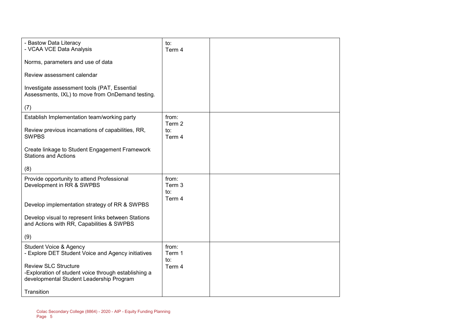| - Bastow Data Literacy<br>- VCAA VCE Data Analysis                                                                              | to:<br>Term 4                               |  |
|---------------------------------------------------------------------------------------------------------------------------------|---------------------------------------------|--|
| Norms, parameters and use of data                                                                                               |                                             |  |
| Review assessment calendar                                                                                                      |                                             |  |
| Investigate assessment tools (PAT, Essential<br>Assessments, IXL) to move from OnDemand testing.                                |                                             |  |
| (7)                                                                                                                             |                                             |  |
| Establish Implementation team/working party                                                                                     | from:<br>Term 2                             |  |
| Review previous incarnations of capabilities, RR,<br><b>SWPBS</b>                                                               | to:<br>Term 4                               |  |
| Create linkage to Student Engagement Framework<br><b>Stations and Actions</b>                                                   |                                             |  |
| (8)                                                                                                                             |                                             |  |
| Provide opportunity to attend Professional<br>Development in RR & SWPBS                                                         | from:<br>Term 3<br>$\mathsf{to}:$<br>Term 4 |  |
| Develop implementation strategy of RR & SWPBS                                                                                   |                                             |  |
| Develop visual to represent links between Stations<br>and Actions with RR, Capabilities & SWPBS                                 |                                             |  |
| (9)                                                                                                                             |                                             |  |
| <b>Student Voice &amp; Agency</b><br>- Explore DET Student Voice and Agency initiatives                                         | from:<br>Term 1                             |  |
| <b>Review SLC Structure</b><br>-Exploration of student voice through establishing a<br>developmental Student Leadership Program | to:<br>Term 4                               |  |
| Transition                                                                                                                      |                                             |  |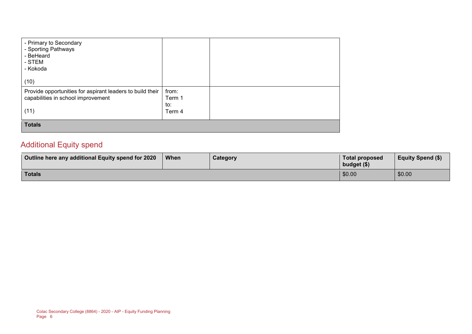| - Primary to Secondary<br>- Sporting Pathways<br>- BeHeard<br>- STEM<br>- Kokoda                        |                                  |  |
|---------------------------------------------------------------------------------------------------------|----------------------------------|--|
| (10)                                                                                                    |                                  |  |
| Provide opportunities for aspirant leaders to build their<br>capabilities in school improvement<br>(11) | from:<br>Term 1<br>to:<br>Term 4 |  |
| <b>Totals</b>                                                                                           |                                  |  |

#### Additional Equity spend

| Outline here any additional Equity spend for 2020 | When | Category | Total proposed<br>budget $($)$ | <b>Equity Spend (\$)</b> |
|---------------------------------------------------|------|----------|--------------------------------|--------------------------|
| Totals                                            |      |          | \$0.00                         | \$0.00                   |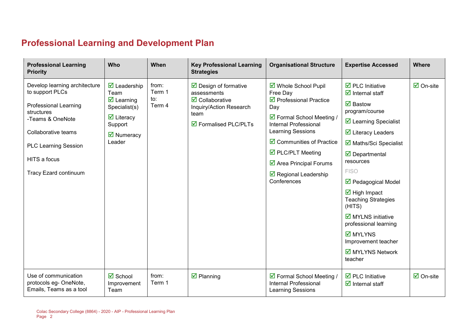## **Professional Learning and Development Plan**

| <b>Professional Learning</b><br><b>Priority</b>                                                                                                                                                                          | Who                                                                                                                                                                                  | When                             | <b>Key Professional Learning</b><br><b>Strategies</b>                                                                                                    | <b>Organisational Structure</b>                                                                                                                                                                                                                                                                                                        | <b>Expertise Accessed</b>                                                                                                                                                                                                                                                                                                                                                                                                                                                                                                                                       | <b>Where</b>                    |
|--------------------------------------------------------------------------------------------------------------------------------------------------------------------------------------------------------------------------|--------------------------------------------------------------------------------------------------------------------------------------------------------------------------------------|----------------------------------|----------------------------------------------------------------------------------------------------------------------------------------------------------|----------------------------------------------------------------------------------------------------------------------------------------------------------------------------------------------------------------------------------------------------------------------------------------------------------------------------------------|-----------------------------------------------------------------------------------------------------------------------------------------------------------------------------------------------------------------------------------------------------------------------------------------------------------------------------------------------------------------------------------------------------------------------------------------------------------------------------------------------------------------------------------------------------------------|---------------------------------|
| Develop learning architecture<br>to support PLCs<br><b>Professional Learning</b><br>structures<br>-Teams & OneNote<br>Collaborative teams<br><b>PLC Learning Session</b><br>HITS a focus<br><b>Tracy Ezard continuum</b> | $\overline{\mathbf{z}}$ Leadership<br>Team<br>$\overline{\mathbf{M}}$ Learning<br>Specialist(s)<br>$\overline{\mathbf{y}}$ Literacy<br>Support<br>$\triangledown$ Numeracy<br>Leader | from:<br>Term 1<br>to:<br>Term 4 | $\triangleright$ Design of formative<br>assessments<br>$\overline{\mathbf{2}}$ Collaborative<br>Inquiry/Action Research<br>team<br>☑ Formalised PLC/PLTs | ☑ Whole School Pupil<br>Free Day<br>$\triangledown$ Professional Practice<br>Day<br>☑ Formal School Meeting /<br><b>Internal Professional</b><br><b>Learning Sessions</b><br>$\boxtimes$ Communities of Practice<br>☑ PLC/PLT Meeting<br>$\triangleright$ Area Principal Forums<br>$\triangleright$ Regional Leadership<br>Conferences | $\triangledown$ PLC Initiative<br>$\overline{\mathbf{z}}$ Internal staff<br>$\overline{\mathbf{M}}$ Bastow<br>program/course<br>☑ Learning Specialist<br>$\overline{\mathbf{y}}$ Literacy Leaders<br>■ Maths/Sci Specialist<br>$\overline{\mathbf{M}}$ Departmental<br>resources<br><b>FISO</b><br>$\triangledown$ Pedagogical Model<br>$\overline{\mathbf{M}}$ High Impact<br><b>Teaching Strategies</b><br>(HITS)<br>$\overline{\mathbf{M}}$ MYLNS initiative<br>professional learning<br><b>Ø</b> MYLYNS<br>Improvement teacher<br>MYLYNS Network<br>teacher | $\overline{\mathsf{M}}$ On-site |
| Use of communication<br>protocols eg-OneNote,<br>Emails, Teams as a tool                                                                                                                                                 | $\overline{\mathbf{M}}$ School<br>Improvement<br>Team                                                                                                                                | from:<br>Term 1                  | $\overline{\mathbf{z}}$ Planning                                                                                                                         | ☑ Formal School Meeting /<br>Internal Professional<br><b>Learning Sessions</b>                                                                                                                                                                                                                                                         | $\overline{\mathbf{2}}$ PLC Initiative<br>$\overline{\mathbf{z}}$ Internal staff                                                                                                                                                                                                                                                                                                                                                                                                                                                                                | $\overline{\mathsf{M}}$ On-site |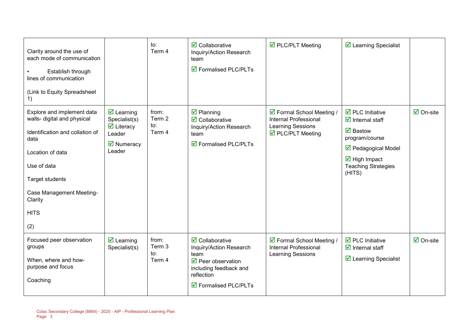| Clarity around the use of<br>each mode of communication<br>Establish through<br>lines of communication<br>(Link to Equity Spreadsheet<br>1)                                                                                           |                                                                                                                                               | to:<br>Term 4                    | $\overline{\mathbf{2}}$ Collaborative<br>Inquiry/Action Research<br>team<br>$\overline{\mathbf{M}}$ Formalised PLC/PLTs                                                              | ☑ PLC/PLT Meeting                                                                                   | $\overline{\mathbf{2}}$ Learning Specialist                                                                                                                                                                                  |                                 |
|---------------------------------------------------------------------------------------------------------------------------------------------------------------------------------------------------------------------------------------|-----------------------------------------------------------------------------------------------------------------------------------------------|----------------------------------|--------------------------------------------------------------------------------------------------------------------------------------------------------------------------------------|-----------------------------------------------------------------------------------------------------|------------------------------------------------------------------------------------------------------------------------------------------------------------------------------------------------------------------------------|---------------------------------|
| Explore and implement data<br>walls- digital and physical<br>Identification and collation of<br>data<br>Location of data<br>Use of data<br><b>Target students</b><br><b>Case Management Meeting-</b><br>Clarity<br><b>HITS</b><br>(2) | $\overline{\mathbf{z}}$ Learning<br>Specialist(s)<br>$\overline{\mathbf{y}}$ Literacy<br>Leader<br>$\overline{\mathbf{M}}$ Numeracy<br>Leader | from:<br>Term 2<br>to:<br>Term 4 | $\boxtimes$ Planning<br>$\overline{\mathbf{2}}$ Collaborative<br>Inquiry/Action Research<br>team<br>$\overline{\boxtimes}$ Formalised PLC/PLTs                                       | ☑ Formal School Meeting /<br>Internal Professional<br><b>Learning Sessions</b><br>☑ PLC/PLT Meeting | $\overline{\mathbf{D}}$ PLC Initiative<br>$\overline{\mathbf{d}}$ Internal staff<br>$\boxdot$ Bastow<br>program/course<br>☑ Pedagogical Model<br>$\overline{\mathbf{M}}$ High Impact<br><b>Teaching Strategies</b><br>(HITS) | $\overline{\mathsf{M}}$ On-site |
| Focused peer observation<br>groups<br>When, where and how-<br>purpose and focus<br>Coaching                                                                                                                                           | $\overline{\mathbf{z}}$ Learning<br>Specialist(s)                                                                                             | from:<br>Term 3<br>to:<br>Term 4 | $\overline{\mathbf{2}}$ Collaborative<br>Inquiry/Action Research<br>team<br>☑ Peer observation<br>including feedback and<br>reflection<br>$\overline{\boxtimes}$ Formalised PLC/PLTs | ☑ Formal School Meeting /<br>Internal Professional<br><b>Learning Sessions</b>                      | $\overline{\boxtimes}$ PLC Initiative<br>$\overline{\mathbf{z}}$ Internal staff<br>☑ Learning Specialist                                                                                                                     | $\overline{\Box}$ On-site       |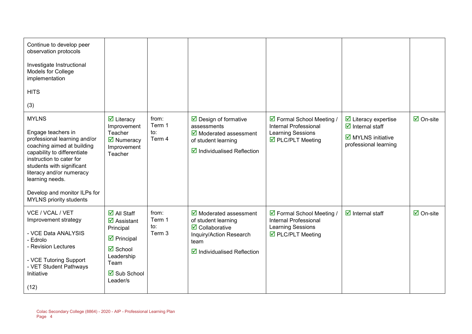| Continue to develop peer<br>observation protocols<br>Investigate Instructional<br>Models for College<br>implementation<br><b>HITS</b><br>(3)                                                                                                                                                              |                                                                                                                                                                                                               |                                  |                                                                                                                                                                                          |                                                                                                                   |                                                                                                                                             |                                 |
|-----------------------------------------------------------------------------------------------------------------------------------------------------------------------------------------------------------------------------------------------------------------------------------------------------------|---------------------------------------------------------------------------------------------------------------------------------------------------------------------------------------------------------------|----------------------------------|------------------------------------------------------------------------------------------------------------------------------------------------------------------------------------------|-------------------------------------------------------------------------------------------------------------------|---------------------------------------------------------------------------------------------------------------------------------------------|---------------------------------|
| <b>MYLNS</b><br>Engage teachers in<br>professional learning and/or<br>coaching aimed at building<br>capability to differentiate<br>instruction to cater for<br>students with significant<br>literacy and/or numeracy<br>learning needs.<br>Develop and monitor ILPs for<br><b>MYLNS</b> priority students | $\overline{\mathbf{z}}$ Literacy<br>Improvement<br>Teacher<br>$\overline{\mathbf{M}}$ Numeracy<br>Improvement<br>Teacher                                                                                      | from:<br>Term 1<br>to:<br>Term 4 | $\triangleright$ Design of formative<br>assessments<br>$\overline{\mathbf{y}}$ Moderated assessment<br>of student learning<br>$\boxtimes$ Individualised Reflection                      | ☑ Formal School Meeting /<br>Internal Professional<br><b>Learning Sessions</b><br>☑ PLC/PLT Meeting               | $\overline{\mathbf{y}}$ Literacy expertise<br>$\overline{\mathbf{y}}$ Internal staff<br>$\boxdot$ MYLNS initiative<br>professional learning | $\overline{\mathsf{M}}$ On-site |
| VCE / VCAL / VET<br>Improvement strategy<br>- VCE Data ANALYSIS<br>- Edrolo<br>- Revision Lectures<br>- VCE Tutoring Support<br>- VET Student Pathways<br>Initiative<br>(12)                                                                                                                              | $\overline{\Box}$ All Staff<br>$\overline{\mathbf{z}}$ Assistant<br>Principal<br>$\overline{\mathbf{z}}$ Principal<br><b>Ø</b> School<br>Leadership<br>Team<br>$\overline{\mathbf{2}}$ Sub School<br>Leader/s | from:<br>Term 1<br>to:<br>Term 3 | $\overline{\mathbf{y}}$ Moderated assessment<br>of student learning<br>$\overline{\mathbf{2}}$ Collaborative<br>Inquiry/Action Research<br>team<br>$\boxtimes$ Individualised Reflection | ☑ Formal School Meeting /<br>Internal Professional<br><b>Learning Sessions</b><br>$\triangledown$ PLC/PLT Meeting | $\overline{\mathbf{y}}$ Internal staff                                                                                                      | $\boxdot$ On-site               |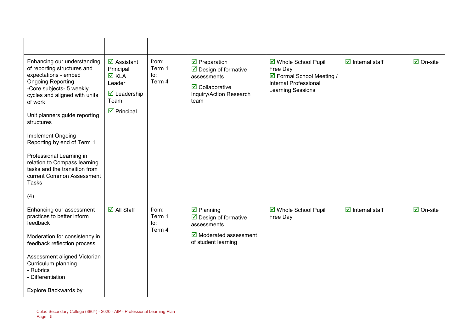| Enhancing our understanding<br>of reporting structures and<br>expectations - embed<br><b>Ongoing Reporting</b><br>-Core subjects- 5 weekly<br>cycles and aligned with units<br>of work<br>Unit planners guide reporting<br>structures<br>Implement Ongoing<br>Reporting by end of Term 1<br>Professional Learning in<br>relation to Compass learning<br>tasks and the transition from<br>current Common Assessment<br><b>Tasks</b><br>(4) | $\overline{\mathbf{M}}$ Assistant<br>Principal<br><b>Ø</b> KLA<br>Leader<br>$\overline{\mathbf{M}}$ Leadership<br>Team<br>$\triangleright$ Principal | from:<br>Term 1<br>to:<br>Term 4 | $\overline{\mathbf{y}}$ Preparation<br>$\triangleright$ Design of formative<br>assessments<br>$\overline{\mathbf{M}}$ Collaborative<br>Inquiry/Action Research<br>team | ☑ Whole School Pupil<br>Free Day<br>☑ Formal School Meeting /<br>Internal Professional<br><b>Learning Sessions</b> | $\overline{\mathbf{M}}$ Internal staff | $\boxtimes$ On-site             |
|-------------------------------------------------------------------------------------------------------------------------------------------------------------------------------------------------------------------------------------------------------------------------------------------------------------------------------------------------------------------------------------------------------------------------------------------|------------------------------------------------------------------------------------------------------------------------------------------------------|----------------------------------|------------------------------------------------------------------------------------------------------------------------------------------------------------------------|--------------------------------------------------------------------------------------------------------------------|----------------------------------------|---------------------------------|
| Enhancing our assessment<br>practices to better inform<br>feedback<br>Moderation for consistency in<br>feedback reflection process<br>Assessment aligned Victorian<br>Curriculum planning<br>- Rubrics<br>- Differentiation<br>Explore Backwards by                                                                                                                                                                                       | $\overline{\mathsf{M}}$ All Staff                                                                                                                    | from:<br>Term 1<br>to:<br>Term 4 | $\boxtimes$ Planning<br>$\boxed{\triangle}$ Design of formative<br>assessments<br>Moderated assessment<br>of student learning                                          | ☑ Whole School Pupil<br>Free Day                                                                                   | $\overline{\mathbf{M}}$ Internal staff | $\overline{\mathsf{M}}$ On-site |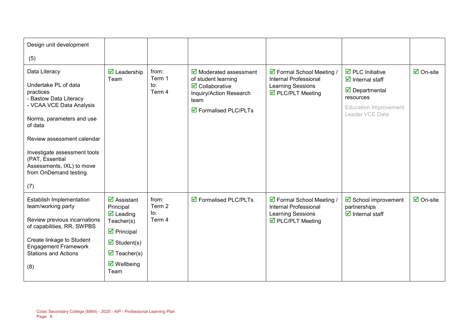| Design unit development                                     |                                                |                          |                                                                          |                                                                     |                                                                                 |                           |  |
|-------------------------------------------------------------|------------------------------------------------|--------------------------|--------------------------------------------------------------------------|---------------------------------------------------------------------|---------------------------------------------------------------------------------|---------------------------|--|
| (5)                                                         |                                                |                          |                                                                          |                                                                     |                                                                                 |                           |  |
| Data Literacy                                               | $\overline{\mathbf{z}}$ Leadership<br>Team     | from:<br>Term 1          | $\overline{\mathbf{M}}$ Moderated assessment<br>of student learning      | ☑ Formal School Meeting /<br>Internal Professional                  | $\overline{\boxtimes}$ PLC Initiative<br>$\overline{\mathbf{d}}$ Internal staff | $\overline{\Box}$ On-site |  |
| Undertake PL of data<br>practices<br>- Bastow Data Literacy |                                                | $\mathsf{to}:$<br>Term 4 | $\overline{\mathbf{M}}$ Collaborative<br>Inquiry/Action Research<br>team | <b>Learning Sessions</b><br>$\overline{\mathbf{M}}$ PLC/PLT Meeting | $\triangledown$ Departmental<br>resources                                       |                           |  |
| - VCAA VCE Data Analysis                                    |                                                |                          | $\boxtimes$ Formalised PLC/PLTs                                          |                                                                     | <b>Education Improvement</b><br>Leader VCE Data                                 |                           |  |
| Norms, parameters and use<br>of data                        |                                                |                          |                                                                          |                                                                     |                                                                                 |                           |  |
| Review assessment calendar                                  |                                                |                          |                                                                          |                                                                     |                                                                                 |                           |  |
| Investigate assessment tools<br>(PAT, Essential             |                                                |                          |                                                                          |                                                                     |                                                                                 |                           |  |
| Assessments, IXL) to move<br>from OnDemand testing.         |                                                |                          |                                                                          |                                                                     |                                                                                 |                           |  |
| (7)                                                         |                                                |                          |                                                                          |                                                                     |                                                                                 |                           |  |
| Establish Implementation<br>team/working party              | $\overline{\mathbf{M}}$ Assistant<br>Principal | from:<br>Term 2          | $\boxtimes$ Formalised PLC/PLTs                                          | ☑ Formal School Meeting /<br><b>Internal Professional</b>           | $\boxtimes$ School improvement<br>partnerships                                  | $\overline{\Box}$ On-site |  |
| Review previous incarnations<br>of capabilities, RR, SWPBS  | $\overline{\mathbf{M}}$ Leading<br>Teacher(s)  | to:<br>Term 4            |                                                                          | <b>Learning Sessions</b><br>☑ PLC/PLT Meeting                       | $\overline{\mathbf{d}}$ Internal staff                                          |                           |  |
| Create linkage to Student                                   | $\triangleright$ Principal                     |                          |                                                                          |                                                                     |                                                                                 |                           |  |
| <b>Engagement Framework</b>                                 | $\overline{\mathbf{z}}$ Student(s)             |                          |                                                                          |                                                                     |                                                                                 |                           |  |
| <b>Stations and Actions</b>                                 | $\overline{\mathbf{M}}$ Teacher(s)             |                          |                                                                          |                                                                     |                                                                                 |                           |  |
| (8)                                                         | $\triangledown$ Wellbeing<br>Team              |                          |                                                                          |                                                                     |                                                                                 |                           |  |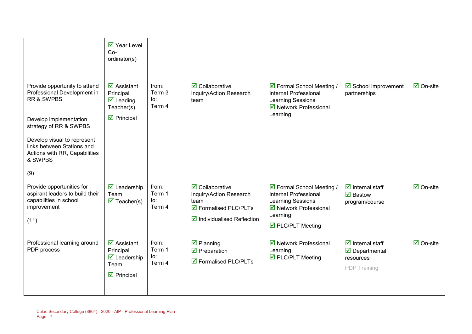|                                                                                                                                                                                                                                                | $\overline{\mathbf{M}}$ Year Level<br>$Co-$<br>ordinator(s)                                                                          |                                  |                                                                                                                                                    |                                                                                                                                           |                                                                                                     |                                 |
|------------------------------------------------------------------------------------------------------------------------------------------------------------------------------------------------------------------------------------------------|--------------------------------------------------------------------------------------------------------------------------------------|----------------------------------|----------------------------------------------------------------------------------------------------------------------------------------------------|-------------------------------------------------------------------------------------------------------------------------------------------|-----------------------------------------------------------------------------------------------------|---------------------------------|
| Provide opportunity to attend<br>Professional Development in<br>RR & SWPBS<br>Develop implementation<br>strategy of RR & SWPBS<br>Develop visual to represent<br>links between Stations and<br>Actions with RR, Capabilities<br>& SWPBS<br>(9) | $\overline{\mathbf{z}}$ Assistant<br>Principal<br>$\overline{\mathbf{M}}$ Leading<br>Teacher(s)<br>$\overline{\mathbf{z}}$ Principal | from:<br>Term 3<br>to:<br>Term 4 | $\overline{\mathbf{M}}$ Collaborative<br>Inquiry/Action Research<br>team                                                                           | ☑ Formal School Meeting /<br><b>Internal Professional</b><br><b>Learning Sessions</b><br>☑ Network Professional<br>Learning               | $\boxtimes$ School improvement<br>partnerships                                                      | $\overline{\mathbf{M}}$ On-site |
| Provide opportunities for<br>aspirant leaders to build their<br>capabilities in school<br>improvement<br>(11)                                                                                                                                  | $\overline{\mathbf{M}}$ Leadership<br>Team<br>$\overline{\mathbf{M}}$ Teacher(s)                                                     | from:<br>Term 1<br>to:<br>Term 4 | $\overline{\mathbf{Z}}$ Collaborative<br>Inquiry/Action Research<br>team<br>☑ Formalised PLC/PLTs<br>$\boxed{\triangle}$ Individualised Reflection | ☑ Formal School Meeting /<br>Internal Professional<br><b>Learning Sessions</b><br>☑ Network Professional<br>Learning<br>☑ PLC/PLT Meeting | $\overline{\mathbf{d}}$ Internal staff<br>$\overline{\mathbf{M}}$ Bastow<br>program/course          | $\overline{\mathbf{M}}$ On-site |
| Professional learning around<br>PDP process                                                                                                                                                                                                    | $\overline{\mathbf{M}}$ Assistant<br>Principal<br>$\overline{\mathbf{M}}$ Leadership<br>Team<br>$\overline{\mathbf{z}}$ Principal    | from:<br>Term 1<br>to:<br>Term 4 | $\overline{\mathbf{z}}$ Planning<br>$\overline{\mathbf{M}}$ Preparation<br>☑ Formalised PLC/PLTs                                                   | ☑ Network Professional<br>Learning<br>☑ PLC/PLT Meeting                                                                                   | $\overline{\mathbf{d}}$ Internal staff<br>$\triangledown$ Departmental<br>resources<br>PDP Training | $\overline{\mathsf{M}}$ On-site |